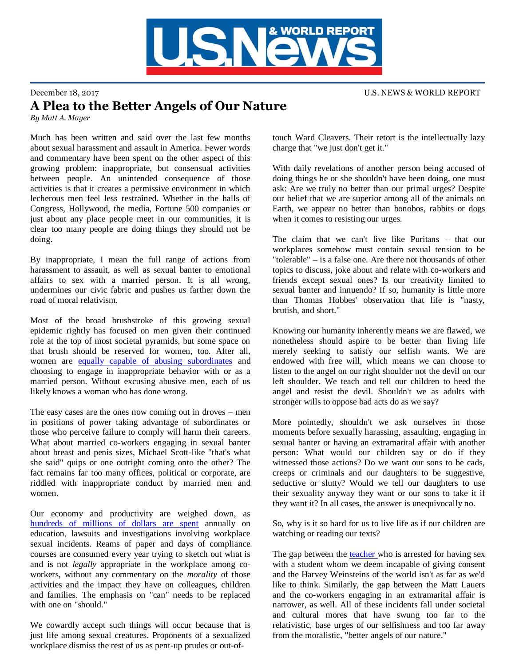

## December 18, 2017 U.S. NEWS & WORLD REPORT A Plea to the Better Angels of Our Nature

*By Matt A. Mayer*

Much has been written and said over the last few months about sexual harassment and assault in America. Fewer words and commentary have been spent on the other aspect of this growing problem: inappropriate, but consensual activities between people. An unintended consequence of those activities is that it creates a permissive environment in which lecherous men feel less restrained. Whether in the halls of Congress, Hollywood, the media, Fortune 500 companies or just about any place people meet in our communities, it is clear too many people are doing things they should not be doing.

By inappropriate, I mean the full range of actions from harassment to assault, as well as sexual banter to emotional affairs to sex with a married person. It is all wrong, undermines our civic fabric and pushes us farther down the road of moral relativism.

Most of the broad brushstroke of this growing sexual epidemic rightly has focused on men given their continued role at the top of most societal pyramids, but some space on that brush should be reserved for women, too. After all, women are [equally capable of abusing subordinates](https://www.politico.com/story/2017/12/15/andrea-ramsey-candidate-kansas-withdraws-sexual-harassment-297782) and choosing to engage in inappropriate behavior with or as a married person. Without excusing abusive men, each of us likely knows a woman who has done wrong.

The easy cases are the ones now coming out in droves – men in positions of power taking advantage of subordinates or those who perceive failure to comply will harm their careers. What about married co-workers engaging in sexual banter about breast and penis sizes, Michael Scott-like "that's what she said" quips or one outright coming onto the other? The fact remains far too many offices, political or corporate, are riddled with inappropriate conduct by married men and women.

Our economy and productivity are weighed down, as [hundreds of millions of dollars are spent](https://fee.org/articles/the-economic-costs-of-sexual-harassment/) annually on education, lawsuits and investigations involving workplace sexual incidents. Reams of paper and days of compliance courses are consumed every year trying to sketch out what is and is not *legally* appropriate in the workplace among coworkers, without any commentary on the *morality* of those activities and the impact they have on colleagues, children and families. The emphasis on "can" needs to be replaced with one on "should."

We cowardly accept such things will occur because that is just life among sexual creatures. Proponents of a sexualized workplace dismiss the rest of us as pent-up prudes or out-oftouch Ward Cleavers. Their retort is the intellectually lazy charge that "we just don't get it."

With daily revelations of another person being accused of doing things he or she shouldn't have been doing, one must ask: Are we truly no better than our primal urges? Despite our belief that we are superior among all of the animals on Earth, we appear no better than bonobos, rabbits or dogs when it comes to resisting our urges.

The claim that we can't live like Puritans – that our workplaces somehow must contain sexual tension to be "tolerable" – is a false one. Are there not thousands of other topics to discuss, joke about and relate with co-workers and friends except sexual ones? Is our creativity limited to sexual banter and innuendo? If so, humanity is little more than Thomas Hobbes' observation that life is "nasty, brutish, and short."

Knowing our humanity inherently means we are flawed, we nonetheless should aspire to be better than living life merely seeking to satisfy our selfish wants. We are endowed with free will, which means we can choose to listen to the angel on our right shoulder not the devil on our left shoulder. We teach and tell our children to heed the angel and resist the devil. Shouldn't we as adults with stronger wills to oppose bad acts do as we say?

More pointedly, shouldn't we ask ourselves in those moments before sexually harassing, assaulting, engaging in sexual banter or having an extramarital affair with another person: What would our children say or do if they witnessed those actions? Do we want our sons to be cads, creeps or criminals and our daughters to be suggestive, seductive or slutty? Would we tell our daughters to use their sexuality anyway they want or our sons to take it if they want it? In all cases, the answer is unequivocally no.

So, why is it so hard for us to live life as if our children are watching or reading our texts?

The gap between the [teacher w](https://www.google.com/search?q=teacher+arrested+sex&client=firefox-b-1&tbm=isch&tbo=u&source=univ&sa=X&ved=0ahUKEwiLq7ri5ozYAhXi4IMKHZsIDFkQsAQIOw&biw=1440&bih=688)ho is arrested for having sex with a student whom we deem incapable of giving consent and the Harvey Weinsteins of the world isn't as far as we'd like to think. Similarly, the gap between the Matt Lauers and the co-workers engaging in an extramarital affair is narrower, as well. All of these incidents fall under societal and cultural mores that have swung too far to the relativistic, base urges of our selfishness and too far away from the moralistic, "better angels of our nature."